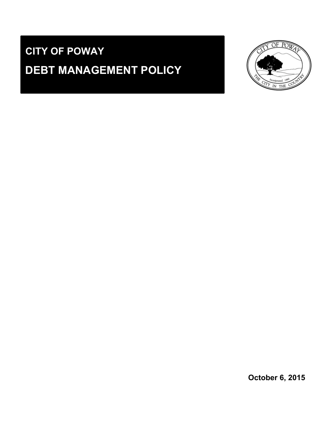# **CITY OF POWAY DEBT MANAGEMENT POLICY**



**October 6, 2015**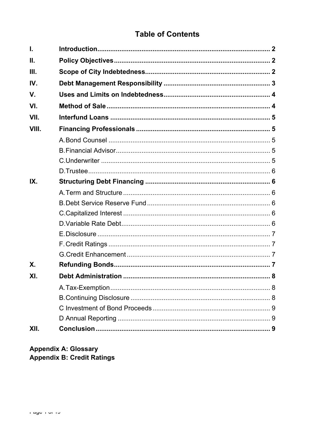# **Table of Contents**

| I.              |  |
|-----------------|--|
| $\mathbf{II}$ . |  |
| III.            |  |
| IV.             |  |
| V.              |  |
| VI.             |  |
| VII.            |  |
| VIII.           |  |
|                 |  |
|                 |  |
|                 |  |
|                 |  |
| IX.             |  |
|                 |  |
|                 |  |
|                 |  |
|                 |  |
|                 |  |
|                 |  |
|                 |  |
| <b>X.</b>       |  |
| XI.             |  |
|                 |  |
|                 |  |
|                 |  |
|                 |  |
| XII.            |  |

## **Appendix A: Glossary** Appendix B: Credit Ratings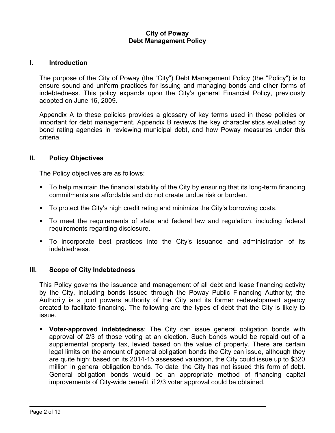#### **City of Poway Debt Management Policy**

#### **I. Introduction**

The purpose of the City of Poway (the "City") Debt Management Policy (the "Policy") is to ensure sound and uniform practices for issuing and managing bonds and other forms of indebtedness. This policy expands upon the City's general Financial Policy, previously adopted on June 16, 2009.

Appendix A to these policies provides a glossary of key terms used in these policies or important for debt management. Appendix B reviews the key characteristics evaluated by bond rating agencies in reviewing municipal debt, and how Poway measures under this criteria.

#### **II. Policy Objectives**

The Policy objectives are as follows:

- To help maintain the financial stability of the City by ensuring that its long-term financing commitments are affordable and do not create undue risk or burden.
- To protect the City's high credit rating and minimize the City's borrowing costs.
- To meet the requirements of state and federal law and regulation, including federal requirements regarding disclosure.
- To incorporate best practices into the City's issuance and administration of its indebtedness.

#### **III. Scope of City Indebtedness**

This Policy governs the issuance and management of all debt and lease financing activity by the City, including bonds issued through the Poway Public Financing Authority; the Authority is a joint powers authority of the City and its former redevelopment agency created to facilitate financing. The following are the types of debt that the City is likely to issue.

 **Voter-approved indebtedness**: The City can issue general obligation bonds with approval of 2/3 of those voting at an election. Such bonds would be repaid out of a supplemental property tax, levied based on the value of property. There are certain legal limits on the amount of general obligation bonds the City can issue, although they are quite high; based on its 2014-15 assessed valuation, the City could issue up to \$320 million in general obligation bonds. To date, the City has not issued this form of debt. General obligation bonds would be an appropriate method of financing capital improvements of City-wide benefit, if 2/3 voter approval could be obtained.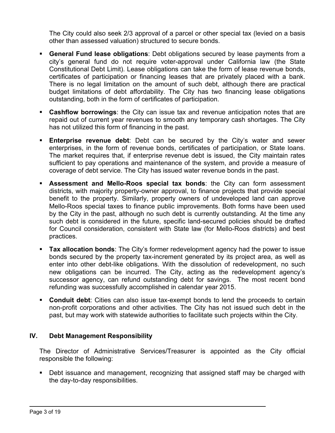The City could also seek 2/3 approval of a parcel or other special tax (levied on a basis other than assessed valuation) structured to secure bonds.

- **General Fund lease obligations**: Debt obligations secured by lease payments from a city's general fund do not require voter-approval under California law (the State Constitutional Debt Limit). Lease obligations can take the form of lease revenue bonds, certificates of participation or financing leases that are privately placed with a bank. There is no legal limitation on the amount of such debt, although there are practical budget limitations of debt affordability. The City has two financing lease obligations outstanding, both in the form of certificates of participation.
- **Cashflow borrowings**: the City can issue tax and revenue anticipation notes that are repaid out of current year revenues to smooth any temporary cash shortages. The City has not utilized this form of financing in the past.
- **Enterprise revenue debt**: Debt can be secured by the City's water and sewer enterprises, in the form of revenue bonds, certificates of participation, or State loans. The market requires that, if enterprise revenue debt is issued, the City maintain rates sufficient to pay operations and maintenance of the system, and provide a measure of coverage of debt service. The City has issued water revenue bonds in the past.
- **Assessment and Mello-Roos special tax bonds**: the City can form assessment districts, with majority property-owner approval, to finance projects that provide special benefit to the property. Similarly, property owners of undeveloped land can approve Mello-Roos special taxes to finance public improvements. Both forms have been used by the City in the past, although no such debt is currently outstanding. At the time any such debt is considered in the future, specific land-secured policies should be drafted for Council consideration, consistent with State law (for Mello-Roos districts) and best practices.
- **Tax allocation bonds**: The City's former redevelopment agency had the power to issue bonds secured by the property tax-increment generated by its project area, as well as enter into other debt-like obligations. With the dissolution of redevelopment, no such new obligations can be incurred. The City, acting as the redevelopment agency's successor agency, can refund outstanding debt for savings. The most recent bond refunding was successfully accomplished in calendar year 2015.
- **Conduit debt**: Cities can also issue tax-exempt bonds to lend the proceeds to certain non-profit corporations and other activities. The City has not issued such debt in the past, but may work with statewide authorities to facilitate such projects within the City.

## **IV. Debt Management Responsibility**

The Director of Administrative Services/Treasurer is appointed as the City official responsible the following:

**Debt issuance and management, recognizing that assigned staff may be charged with** the day-to-day responsibilities.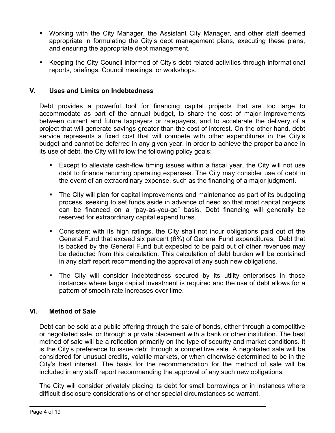- Working with the City Manager, the Assistant City Manager, and other staff deemed appropriate in formulating the City's debt management plans, executing these plans, and ensuring the appropriate debt management.
- Keeping the City Council informed of City's debt-related activities through informational reports, briefings, Council meetings, or workshops.

#### **V. Uses and Limits on Indebtedness**

Debt provides a powerful tool for financing capital projects that are too large to accommodate as part of the annual budget, to share the cost of major improvements between current and future taxpayers or ratepayers, and to accelerate the delivery of a project that will generate savings greater than the cost of interest. On the other hand, debt service represents a fixed cost that will compete with other expenditures in the City's budget and cannot be deferred in any given year. In order to achieve the proper balance in its use of debt, the City will follow the following policy goals:

- Except to alleviate cash-flow timing issues within a fiscal year, the City will not use debt to finance recurring operating expenses. The City may consider use of debt in the event of an extraordinary expense, such as the financing of a major judgment.
- The City will plan for capital improvements and maintenance as part of its budgeting process, seeking to set funds aside in advance of need so that most capital projects can be financed on a "pay-as-you-go" basis. Debt financing will generally be reserved for extraordinary capital expenditures.
- Consistent with its high ratings, the City shall not incur obligations paid out of the General Fund that exceed six percent (6%) of General Fund expenditures. Debt that is backed by the General Fund but expected to be paid out of other revenues may be deducted from this calculation. This calculation of debt burden will be contained in any staff report recommending the approval of any such new obligations.
- The City will consider indebtedness secured by its utility enterprises in those instances where large capital investment is required and the use of debt allows for a pattern of smooth rate increases over time.

#### **VI. Method of Sale**

Debt can be sold at a public offering through the sale of bonds, either through a competitive or negotiated sale, or through a private placement with a bank or other institution. The best method of sale will be a reflection primarily on the type of security and market conditions. It is the City's preference to issue debt through a competitive sale. A negotiated sale will be considered for unusual credits, volatile markets, or when otherwise determined to be in the City's best interest. The basis for the recommendation for the method of sale will be included in any staff report recommending the approval of any such new obligations.

The City will consider privately placing its debt for small borrowings or in instances where difficult disclosure considerations or other special circumstances so warrant.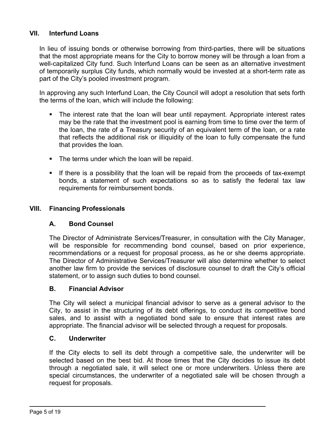## **VII. Interfund Loans**

In lieu of issuing bonds or otherwise borrowing from third-parties, there will be situations that the most appropriate means for the City to borrow money will be through a loan from a well-capitalized City fund. Such Interfund Loans can be seen as an alternative investment of temporarily surplus City funds, which normally would be invested at a short-term rate as part of the City's pooled investment program.

In approving any such Interfund Loan, the City Council will adopt a resolution that sets forth the terms of the loan, which will include the following:

- The interest rate that the loan will bear until repayment. Appropriate interest rates may be the rate that the investment pool is earning from time to time over the term of the loan, the rate of a Treasury security of an equivalent term of the loan, or a rate that reflects the additional risk or illiquidity of the loan to fully compensate the fund that provides the loan.
- **The terms under which the loan will be repaid.**
- If there is a possibility that the loan will be repaid from the proceeds of tax-exempt bonds, a statement of such expectations so as to satisfy the federal tax law requirements for reimbursement bonds.

#### **VIII. Financing Professionals**

#### **A. Bond Counsel**

The Director of Administrate Services/Treasurer, in consultation with the City Manager, will be responsible for recommending bond counsel, based on prior experience, recommendations or a request for proposal process, as he or she deems appropriate. The Director of Administrative Services/Treasurer will also determine whether to select another law firm to provide the services of disclosure counsel to draft the City's official statement, or to assign such duties to bond counsel.

#### **B. Financial Advisor**

The City will select a municipal financial advisor to serve as a general advisor to the City, to assist in the structuring of its debt offerings, to conduct its competitive bond sales, and to assist with a negotiated bond sale to ensure that interest rates are appropriate. The financial advisor will be selected through a request for proposals.

#### **C. Underwriter**

If the City elects to sell its debt through a competitive sale, the underwriter will be selected based on the best bid. At those times that the City decides to issue its debt through a negotiated sale, it will select one or more underwriters. Unless there are special circumstances, the underwriter of a negotiated sale will be chosen through a request for proposals.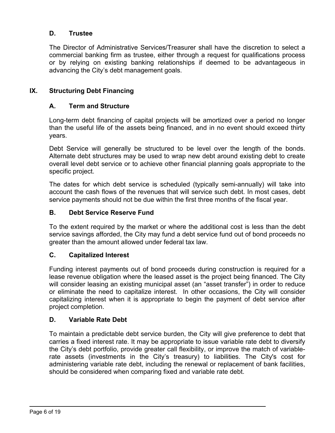## **D. Trustee**

The Director of Administrative Services/Treasurer shall have the discretion to select a commercial banking firm as trustee, either through a request for qualifications process or by relying on existing banking relationships if deemed to be advantageous in advancing the City's debt management goals.

### **IX. Structuring Debt Financing**

#### **A. Term and Structure**

Long-term debt financing of capital projects will be amortized over a period no longer than the useful life of the assets being financed, and in no event should exceed thirty years.

Debt Service will generally be structured to be level over the length of the bonds. Alternate debt structures may be used to wrap new debt around existing debt to create overall level debt service or to achieve other financial planning goals appropriate to the specific project.

The dates for which debt service is scheduled (typically semi-annually) will take into account the cash flows of the revenues that will service such debt. In most cases, debt service payments should not be due within the first three months of the fiscal year.

#### **B. Debt Service Reserve Fund**

To the extent required by the market or where the additional cost is less than the debt service savings afforded, the City may fund a debt service fund out of bond proceeds no greater than the amount allowed under federal tax law.

#### **C. Capitalized Interest**

Funding interest payments out of bond proceeds during construction is required for a lease revenue obligation where the leased asset is the project being financed. The City will consider leasing an existing municipal asset (an "asset transfer") in order to reduce or eliminate the need to capitalize interest. In other occasions, the City will consider capitalizing interest when it is appropriate to begin the payment of debt service after project completion.

#### **D. Variable Rate Debt**

To maintain a predictable debt service burden, the City will give preference to debt that carries a fixed interest rate. It may be appropriate to issue variable rate debt to diversify the City's debt portfolio, provide greater call flexibility, or improve the match of variablerate assets (investments in the City's treasury) to liabilities. The City's cost for administering variable rate debt, including the renewal or replacement of bank facilities, should be considered when comparing fixed and variable rate debt.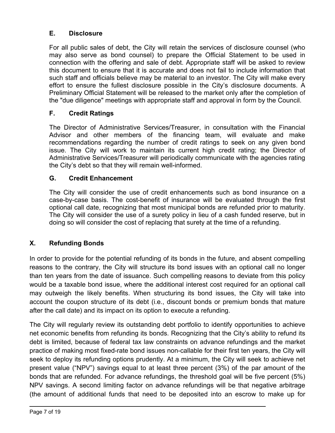## **E. Disclosure**

For all public sales of debt, the City will retain the services of disclosure counsel (who may also serve as bond counsel) to prepare the Official Statement to be used in connection with the offering and sale of debt. Appropriate staff will be asked to review this document to ensure that it is accurate and does not fail to include information that such staff and officials believe may be material to an investor. The City will make every effort to ensure the fullest disclosure possible in the City's disclosure documents. A Preliminary Official Statement will be released to the market only after the completion of the "due diligence" meetings with appropriate staff and approval in form by the Council.

## **F. Credit Ratings**

The Director of Administrative Services/Treasurer, in consultation with the Financial Advisor and other members of the financing team, will evaluate and make recommendations regarding the number of credit ratings to seek on any given bond issue. The City will work to maintain its current high credit rating; the Director of Administrative Services/Treasurer will periodically communicate with the agencies rating the City's debt so that they will remain well-informed.

## **G. Credit Enhancement**

The City will consider the use of credit enhancements such as bond insurance on a case-by-case basis. The cost-benefit of insurance will be evaluated through the first optional call date, recognizing that most municipal bonds are refunded prior to maturity. The City will consider the use of a surety policy in lieu of a cash funded reserve, but in doing so will consider the cost of replacing that surety at the time of a refunding.

## **X. Refunding Bonds**

In order to provide for the potential refunding of its bonds in the future, and absent compelling reasons to the contrary, the City will structure its bond issues with an optional call no longer than ten years from the date of issuance. Such compelling reasons to deviate from this policy would be a taxable bond issue, where the additional interest cost required for an optional call may outweigh the likely benefits. When structuring its bond issues, the City will take into account the coupon structure of its debt (i.e., discount bonds or premium bonds that mature after the call date) and its impact on its option to execute a refunding.

The City will regularly review its outstanding debt portfolio to identify opportunities to achieve net economic benefits from refunding its bonds. Recognizing that the City's ability to refund its debt is limited, because of federal tax law constraints on advance refundings and the market practice of making most fixed-rate bond issues non-callable for their first ten years, the City will seek to deploy its refunding options prudently. At a minimum, the City will seek to achieve net present value ("NPV") savings equal to at least three percent (3%) of the par amount of the bonds that are refunded. For advance refundings, the threshold goal will be five percent (5%) NPV savings. A second limiting factor on advance refundings will be that negative arbitrage (the amount of additional funds that need to be deposited into an escrow to make up for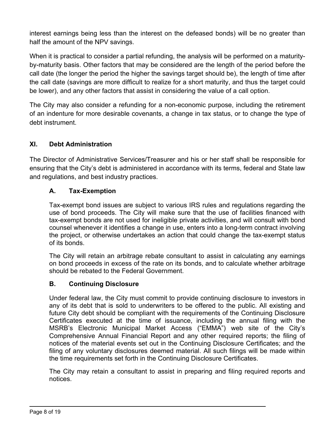interest earnings being less than the interest on the defeased bonds) will be no greater than half the amount of the NPV savings.

When it is practical to consider a partial refunding, the analysis will be performed on a maturityby-maturity basis. Other factors that may be considered are the length of the period before the call date (the longer the period the higher the savings target should be), the length of time after the call date (savings are more difficult to realize for a short maturity, and thus the target could be lower), and any other factors that assist in considering the value of a call option.

The City may also consider a refunding for a non-economic purpose, including the retirement of an indenture for more desirable covenants, a change in tax status, or to change the type of debt instrument.

## **XI. Debt Administration**

The Director of Administrative Services/Treasurer and his or her staff shall be responsible for ensuring that the City's debt is administered in accordance with its terms, federal and State law and regulations, and best industry practices.

## **A. Tax-Exemption**

Tax-exempt bond issues are subject to various IRS rules and regulations regarding the use of bond proceeds. The City will make sure that the use of facilities financed with tax-exempt bonds are not used for ineligible private activities, and will consult with bond counsel whenever it identifies a change in use, enters into a long-term contract involving the project, or otherwise undertakes an action that could change the tax-exempt status of its bonds.

The City will retain an arbitrage rebate consultant to assist in calculating any earnings on bond proceeds in excess of the rate on its bonds, and to calculate whether arbitrage should be rebated to the Federal Government.

## **B. Continuing Disclosure**

Under federal law, the City must commit to provide continuing disclosure to investors in any of its debt that is sold to underwriters to be offered to the public. All existing and future City debt should be compliant with the requirements of the Continuing Disclosure Certificates executed at the time of issuance, including the annual filing with the MSRB's Electronic Municipal Market Access ("EMMA") web site of the City's Comprehensive Annual Financial Report and any other required reports; the filing of notices of the material events set out in the Continuing Disclosure Certificates; and the filing of any voluntary disclosures deemed material. All such filings will be made within the time requirements set forth in the Continuing Disclosure Certificates.

The City may retain a consultant to assist in preparing and filing required reports and notices.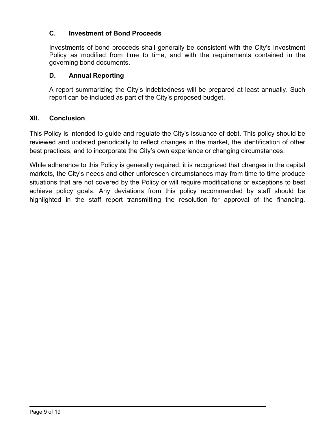## **C. Investment of Bond Proceeds**

Investments of bond proceeds shall generally be consistent with the City's Investment Policy as modified from time to time, and with the requirements contained in the governing bond documents.

## **D. Annual Reporting**

A report summarizing the City's indebtedness will be prepared at least annually. Such report can be included as part of the City's proposed budget.

## **XII. Conclusion**

This Policy is intended to guide and regulate the City's issuance of debt. This policy should be reviewed and updated periodically to reflect changes in the market, the identification of other best practices, and to incorporate the City's own experience or changing circumstances.

While adherence to this Policy is generally required, it is recognized that changes in the capital markets, the City's needs and other unforeseen circumstances may from time to time produce situations that are not covered by the Policy or will require modifications or exceptions to best achieve policy goals. Any deviations from this policy recommended by staff should be highlighted in the staff report transmitting the resolution for approval of the financing.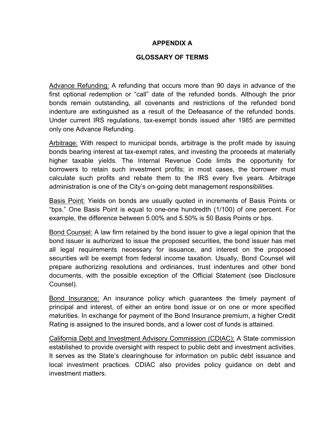#### **APPENDIX A**

#### **GLOSSARY OF TERMS**

Advance Refunding: A refunding that occurs more than 90 days in advance of the first optional redemption or "call" date of the refunded bonds. Although the prior bonds remain outstanding, all covenants and restrictions of the refunded bond indenture are extinguished as a result of the Defeasance of the refunded bonds. Under current IRS regulations, tax-exempt bonds issued after 1985 are permitted only one Advance Refunding.

Arbitrage: With respect to municipal bonds, arbitrage is the profit made by issuing bonds bearing interest at tax-exempt rates, and investing the proceeds at materially higher taxable yields. The Internal Revenue Code limits the opportunity for borrowers to retain such investment profits; in most cases, the borrower must calculate such profits and rebate them to the IRS every five years. Arbitrage administration is one of the City's on-going debt management responsibilities.

Basis Point: Yields on bonds are usually quoted in increments of Basis Points or "bps." One Basis Point is equal to one-one hundredth (1/100) of one percent. For example, the difference between 5.00% and 5.50% is 50 Basis Points or bps.

Bond Counsel: A law firm retained by the bond issuer to give a legal opinion that the bond issuer is authorized to issue the proposed securities, the bond issuer has met all legal requirements necessary for issuance, and interest on the proposed securities will be exempt from federal income taxation. Usually, Bond Counsel will prepare authorizing resolutions and ordinances, trust indentures and other bond documents, with the possible exception of the Official Statement (see Disclosure Counsel).

Bond Insurance: An insurance policy which guarantees the timely payment of principal and interest, of either an entire bond issue or on one or more specified maturities. In exchange for payment of the Bond Insurance premium, a higher Credit Rating is assigned to the insured bonds, and a lower cost of funds is attained.

California Debt and Investment Advisory Commission (CDIAC): A State commission established to provide oversight with respect to public debt and investment activities. It serves as the State's clearinghouse for information on public debt issuance and local investment practices. CDIAC also provides policy guidance on debt and investment matters.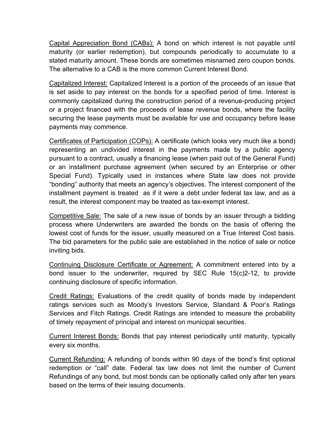Capital Appreciation Bond (CABs): A bond on which interest is not payable until maturity (or earlier redemption), but compounds periodically to accumulate to a stated maturity amount. These bonds are sometimes misnamed zero coupon bonds. The alternative to a CAB is the more common Current Interest Bond.

Capitalized Interest: Capitalized Interest is a portion of the proceeds of an issue that is set aside to pay interest on the bonds for a specified period of time. Interest is commonly capitalized during the construction period of a revenue-producing project or a project financed with the proceeds of lease revenue bonds, where the facility securing the lease payments must be available for use and occupancy before lease payments may commence.

Certificates of Participation (COPs): A certificate (which looks very much like a bond) representing an undivided interest in the payments made by a public agency pursuant to a contract, usually a financing lease (when paid out of the General Fund) or an installment purchase agreement (when secured by an Enterprise or other Special Fund). Typically used in instances where State law does not provide "bonding" authority that meets an agency's objectives. The interest component of the installment payment is treated as if it were a debt under federal tax law, and as a result, the interest component may be treated as tax-exempt interest.

Competitive Sale: The sale of a new issue of bonds by an issuer through a bidding process where Underwriters are awarded the bonds on the basis of offering the lowest cost of funds for the issuer, usually measured on a True Interest Cost basis. The bid parameters for the public sale are established in the notice of sale or notice inviting bids.

Continuing Disclosure Certificate or Agreement: A commitment entered into by a bond issuer to the underwriter, required by SEC Rule 15(c)2-12, to provide continuing disclosure of specific information.

Credit Ratings: Evaluations of the credit quality of bonds made by independent ratings services such as Moody's Investors Service, Standard & Poor's Ratings Services and Fitch Ratings. Credit Ratings are intended to measure the probability of timely repayment of principal and interest on municipal securities.

Current Interest Bonds: Bonds that pay interest periodically until maturity, typically every six months.

Current Refunding: A refunding of bonds within 90 days of the bond's first optional redemption or "call" date. Federal tax law does not limit the number of Current Refundings of any bond, but most bonds can be optionally called only after ten years based on the terms of their issuing documents.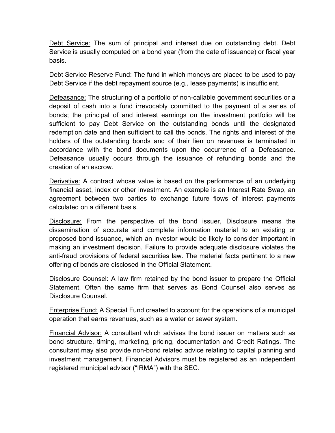Debt Service: The sum of principal and interest due on outstanding debt. Debt Service is usually computed on a bond year (from the date of issuance) or fiscal year basis.

Debt Service Reserve Fund: The fund in which moneys are placed to be used to pay Debt Service if the debt repayment source (e.g., lease payments) is insufficient.

Defeasance: The structuring of a portfolio of non-callable government securities or a deposit of cash into a fund irrevocably committed to the payment of a series of bonds; the principal of and interest earnings on the investment portfolio will be sufficient to pay Debt Service on the outstanding bonds until the designated redemption date and then sufficient to call the bonds. The rights and interest of the holders of the outstanding bonds and of their lien on revenues is terminated in accordance with the bond documents upon the occurrence of a Defeasance. Defeasance usually occurs through the issuance of refunding bonds and the creation of an escrow.

Derivative: A contract whose value is based on the performance of an underlying financial asset, index or other investment. An example is an Interest Rate Swap, an agreement between two parties to exchange future flows of interest payments calculated on a different basis.

Disclosure: From the perspective of the bond issuer, Disclosure means the dissemination of accurate and complete information material to an existing or proposed bond issuance, which an investor would be likely to consider important in making an investment decision. Failure to provide adequate disclosure violates the anti-fraud provisions of federal securities law. The material facts pertinent to a new offering of bonds are disclosed in the Official Statement.

Disclosure Counsel: A law firm retained by the bond issuer to prepare the Official Statement. Often the same firm that serves as Bond Counsel also serves as Disclosure Counsel.

Enterprise Fund: A Special Fund created to account for the operations of a municipal operation that earns revenues, such as a water or sewer system.

Financial Advisor: A consultant which advises the bond issuer on matters such as bond structure, timing, marketing, pricing, documentation and Credit Ratings. The consultant may also provide non-bond related advice relating to capital planning and investment management. Financial Advisors must be registered as an independent registered municipal advisor ("IRMA") with the SEC.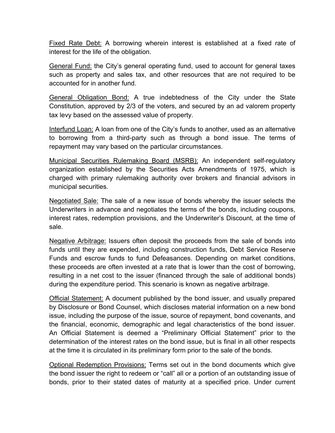Fixed Rate Debt: A borrowing wherein interest is established at a fixed rate of interest for the life of the obligation.

General Fund: the City's general operating fund, used to account for general taxes such as property and sales tax, and other resources that are not required to be accounted for in another fund.

General Obligation Bond: A true indebtedness of the City under the State Constitution, approved by 2/3 of the voters, and secured by an ad valorem property tax levy based on the assessed value of property.

Interfund Loan: A loan from one of the City's funds to another, used as an alternative to borrowing from a third-party such as through a bond issue. The terms of repayment may vary based on the particular circumstances.

Municipal Securities Rulemaking Board (MSRB): An independent self-regulatory organization established by the Securities Acts Amendments of 1975, which is charged with primary rulemaking authority over brokers and financial advisors in municipal securities.

Negotiated Sale: The sale of a new issue of bonds whereby the issuer selects the Underwriters in advance and negotiates the terms of the bonds, including coupons, interest rates, redemption provisions, and the Underwriter's Discount, at the time of sale.

Negative Arbitrage: Issuers often deposit the proceeds from the sale of bonds into funds until they are expended, including construction funds, Debt Service Reserve Funds and escrow funds to fund Defeasances. Depending on market conditions, these proceeds are often invested at a rate that is lower than the cost of borrowing, resulting in a net cost to the issuer (financed through the sale of additional bonds) during the expenditure period. This scenario is known as negative arbitrage.

Official Statement: A document published by the bond issuer, and usually prepared by Disclosure or Bond Counsel, which discloses material information on a new bond issue, including the purpose of the issue, source of repayment, bond covenants, and the financial, economic, demographic and legal characteristics of the bond issuer. An Official Statement is deemed a "Preliminary Official Statement" prior to the determination of the interest rates on the bond issue, but is final in all other respects at the time it is circulated in its preliminary form prior to the sale of the bonds.

Optional Redemption Provisions: Terms set out in the bond documents which give the bond issuer the right to redeem or "call" all or a portion of an outstanding issue of bonds, prior to their stated dates of maturity at a specified price. Under current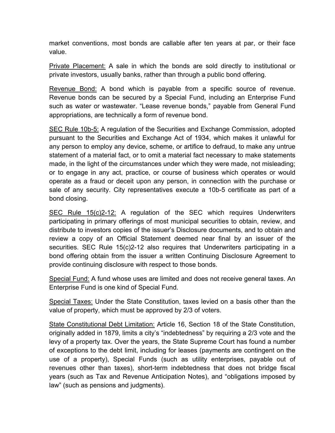market conventions, most bonds are callable after ten years at par, or their face value.

Private Placement: A sale in which the bonds are sold directly to institutional or private investors, usually banks, rather than through a public bond offering.

Revenue Bond: A bond which is payable from a specific source of revenue. Revenue bonds can be secured by a Special Fund, including an Enterprise Fund such as water or wastewater. "Lease revenue bonds," payable from General Fund appropriations, are technically a form of revenue bond.

SEC Rule 10b-5: A regulation of the Securities and Exchange Commission, adopted pursuant to the Securities and Exchange Act of 1934, which makes it unlawful for any person to employ any device, scheme, or artifice to defraud, to make any untrue statement of a material fact, or to omit a material fact necessary to make statements made, in the light of the circumstances under which they were made, not misleading; or to engage in any act, practice, or course of business which operates or would operate as a fraud or deceit upon any person, in connection with the purchase or sale of any security. City representatives execute a 10b-5 certificate as part of a bond closing.

SEC Rule 15(c)2-12: A regulation of the SEC which requires Underwriters participating in primary offerings of most municipal securities to obtain, review, and distribute to investors copies of the issuer's Disclosure documents, and to obtain and review a copy of an Official Statement deemed near final by an issuer of the securities. SEC Rule 15(c)2-12 also requires that Underwriters participating in a bond offering obtain from the issuer a written Continuing Disclosure Agreement to provide continuing disclosure with respect to those bonds.

Special Fund: A fund whose uses are limited and does not receive general taxes. An Enterprise Fund is one kind of Special Fund.

Special Taxes: Under the State Constitution, taxes levied on a basis other than the value of property, which must be approved by 2/3 of voters.

State Constitutional Debt Limitation: Article 16, Section 18 of the State Constitution, originally added in 1879, limits a city's "indebtedness" by requiring a 2/3 vote and the levy of a property tax. Over the years, the State Supreme Court has found a number of exceptions to the debt limit, including for leases (payments are contingent on the use of a property), Special Funds (such as utility enterprises, payable out of revenues other than taxes), short-term indebtedness that does not bridge fiscal years (such as Tax and Revenue Anticipation Notes), and "obligations imposed by law" (such as pensions and judgments).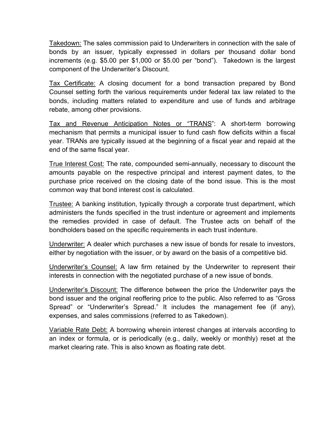Takedown: The sales commission paid to Underwriters in connection with the sale of bonds by an issuer, typically expressed in dollars per thousand dollar bond increments (e.g. \$5.00 per \$1,000 or \$5.00 per "bond"). Takedown is the largest component of the Underwriter's Discount.

Tax Certificate: A closing document for a bond transaction prepared by Bond Counsel setting forth the various requirements under federal tax law related to the bonds, including matters related to expenditure and use of funds and arbitrage rebate, among other provisions.

Tax and Revenue Anticipation Notes or "TRANS": A short-term borrowing mechanism that permits a municipal issuer to fund cash flow deficits within a fiscal year. TRANs are typically issued at the beginning of a fiscal year and repaid at the end of the same fiscal year.

True Interest Cost: The rate, compounded semi-annually, necessary to discount the amounts payable on the respective principal and interest payment dates, to the purchase price received on the closing date of the bond issue. This is the most common way that bond interest cost is calculated.

Trustee: A banking institution, typically through a corporate trust department, which administers the funds specified in the trust indenture or agreement and implements the remedies provided in case of default. The Trustee acts on behalf of the bondholders based on the specific requirements in each trust indenture.

Underwriter: A dealer which purchases a new issue of bonds for resale to investors, either by negotiation with the issuer, or by award on the basis of a competitive bid.

Underwriter's Counsel: A law firm retained by the Underwriter to represent their interests in connection with the negotiated purchase of a new issue of bonds.

Underwriter's Discount: The difference between the price the Underwriter pays the bond issuer and the original reoffering price to the public. Also referred to as "Gross Spread" or "Underwriter's Spread." It includes the management fee (if any), expenses, and sales commissions (referred to as Takedown).

Variable Rate Debt: A borrowing wherein interest changes at intervals according to an index or formula, or is periodically (e.g., daily, weekly or monthly) reset at the market clearing rate. This is also known as floating rate debt.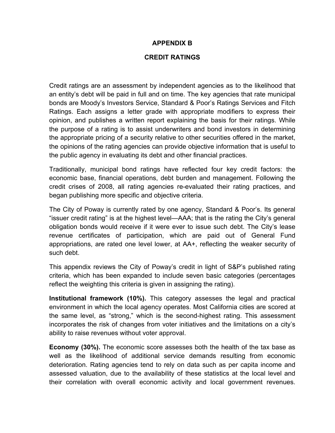#### **APPENDIX B**

#### **CREDIT RATINGS**

Credit ratings are an assessment by independent agencies as to the likelihood that an entity's debt will be paid in full and on time. The key agencies that rate municipal bonds are Moody's Investors Service, Standard & Poor's Ratings Services and Fitch Ratings. Each assigns a letter grade with appropriate modifiers to express their opinion, and publishes a written report explaining the basis for their ratings. While the purpose of a rating is to assist underwriters and bond investors in determining the appropriate pricing of a security relative to other securities offered in the market, the opinions of the rating agencies can provide objective information that is useful to the public agency in evaluating its debt and other financial practices.

Traditionally, municipal bond ratings have reflected four key credit factors: the economic base, financial operations, debt burden and management. Following the credit crises of 2008, all rating agencies re-evaluated their rating practices, and began publishing more specific and objective criteria.

The City of Poway is currently rated by one agency, Standard & Poor's. Its general "issuer credit rating" is at the highest level—AAA; that is the rating the City's general obligation bonds would receive if it were ever to issue such debt. The City's lease revenue certificates of participation, which are paid out of General Fund appropriations, are rated one level lower, at AA+, reflecting the weaker security of such debt.

This appendix reviews the City of Poway's credit in light of S&P's published rating criteria, which has been expanded to include seven basic categories (percentages reflect the weighting this criteria is given in assigning the rating).

**Institutional framework (10%).** This category assesses the legal and practical environment in which the local agency operates. Most California cities are scored at the same level, as "strong," which is the second-highest rating. This assessment incorporates the risk of changes from voter initiatives and the limitations on a city's ability to raise revenues without voter approval.

**Economy (30%).** The economic score assesses both the health of the tax base as well as the likelihood of additional service demands resulting from economic deterioration. Rating agencies tend to rely on data such as per capita income and assessed valuation, due to the availability of these statistics at the local level and their correlation with overall economic activity and local government revenues.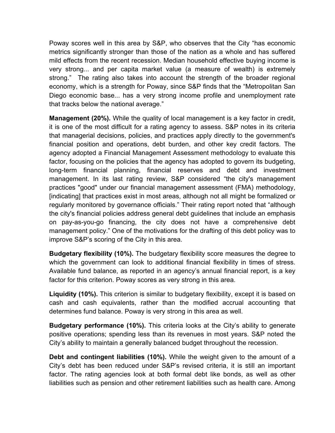Poway scores well in this area by S&P, who observes that the City "has economic metrics significantly stronger than those of the nation as a whole and has suffered mild effects from the recent recession. Median household effective buying income is very strong... and per capita market value (a measure of wealth) is extremely strong." The rating also takes into account the strength of the broader regional economy, which is a strength for Poway, since S&P finds that the "Metropolitan San Diego economic base... has a very strong income profile and unemployment rate that tracks below the national average."

**Management (20%).** While the quality of local management is a key factor in credit, it is one of the most difficult for a rating agency to assess. S&P notes in its criteria that managerial decisions, policies, and practices apply directly to the government's financial position and operations, debt burden, and other key credit factors. The agency adopted a Financial Management Assessment methodology to evaluate this factor, focusing on the policies that the agency has adopted to govern its budgeting, long-term financial planning, financial reserves and debt and investment management. In its last rating review, S&P considered "the city's management practices "good" under our financial management assessment (FMA) methodology, [indicating] that practices exist in most areas, although not all might be formalized or regularly monitored by governance officials." Their rating report noted that "although the city's financial policies address general debt guidelines that include an emphasis on pay-as-you-go financing, the city does not have a comprehensive debt management policy." One of the motivations for the drafting of this debt policy was to improve S&P's scoring of the City in this area.

**Budgetary flexibility (10%).** The budgetary flexibility score measures the degree to which the government can look to additional financial flexibility in times of stress. Available fund balance, as reported in an agency's annual financial report, is a key factor for this criterion. Poway scores as very strong in this area.

**Liquidity (10%).** This criterion is similar to budgetary flexibility, except it is based on cash and cash equivalents, rather than the modified accrual accounting that determines fund balance. Poway is very strong in this area as well.

**Budgetary performance (10%).** This criteria looks at the City's ability to generate positive operations; spending less than its revenues in most years. S&P noted the City's ability to maintain a generally balanced budget throughout the recession.

**Debt and contingent liabilities (10%).** While the weight given to the amount of a City's debt has been reduced under S&P's revised criteria, it is still an important factor. The rating agencies look at both formal debt like bonds, as well as other liabilities such as pension and other retirement liabilities such as health care. Among